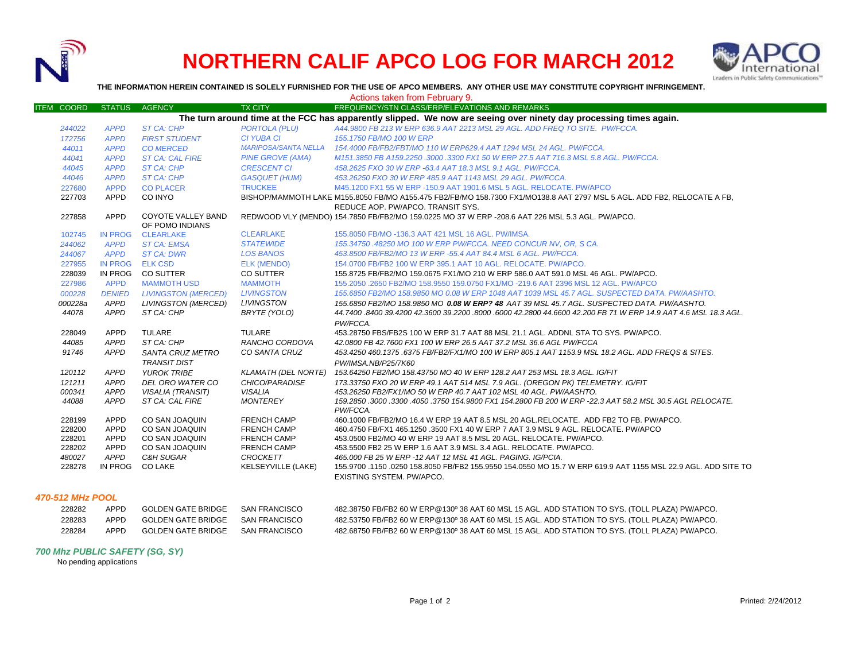

# **NORTHERN CALIF APCO LOG FOR MARCH 2012**



**THE INFORMATION HEREIN CONTAINED IS SOLELY FURNISHED FOR THE USE OF APCO MEMBERS. ANY OTHER USE MAY CONSTITUTE COPYRIGHT INFRINGEMENT.**

| <b>ITEM COORD</b>                                                                                                                               | <b>STATUS</b>   | <b>AGENCY</b>              | <b>TX CITY</b>              | Actions taken from February 9.<br>FREQUENCY/STN CLASS/ERP/ELEVATIONS AND REMARKS                                        |
|-------------------------------------------------------------------------------------------------------------------------------------------------|-----------------|----------------------------|-----------------------------|-------------------------------------------------------------------------------------------------------------------------|
|                                                                                                                                                 |                 |                            |                             | The turn around time at the FCC has apparently slipped. We now are seeing over ninety day processing times again.       |
| 244022                                                                                                                                          | <b>APPD</b>     | <b>ST CA: CHP</b>          | <b>PORTOLA (PLU)</b>        | A44,9800 FB 213 W ERP 636.9 AAT 2213 MSL 29 AGL, ADD FREQ TO SITE. PW/FCCA.                                             |
| 172756                                                                                                                                          | <b>APPD</b>     | <b>FIRST STUDENT</b>       | <b>CI YUBA CI</b>           | 155.1750 FB/MO 100 W ERP                                                                                                |
| 44011                                                                                                                                           | <b>APPD</b>     | <b>CO MERCED</b>           | <b>MARIPOSA/SANTA NELLA</b> | 154.4000 FB/FB2/FBT/MO 110 W ERP629.4 AAT 1294 MSL 24 AGL, PW/FCCA.                                                     |
| 44041                                                                                                                                           | <b>APPD</b>     | <b>ST CA: CAL FIRE</b>     | <b>PINE GROVE (AMA)</b>     | M151.3850 FB A159.2250 .3000 .3300 FX1 50 W ERP 27.5 AAT 716.3 MSL 5.8 AGL. PW/FCCA.                                    |
| 44045                                                                                                                                           | <b>APPD</b>     | <b>ST CA: CHP</b>          | <b>CRESCENT CI</b>          | 458.2625 FXO 30 W ERP -63.4 AAT 18.3 MSL 9.1 AGL. PW/FCCA.                                                              |
| 44046                                                                                                                                           | <b>APPD</b>     | <b>ST CA: CHP</b>          | <b>GASQUET (HUM)</b>        | 453.26250 FXO 30 W ERP 485.9 AAT 1143 MSL 29 AGL, PW/FCCA.                                                              |
| 227680                                                                                                                                          | <b>APPD</b>     | <b>CO PLACER</b>           | <b>TRUCKEE</b>              | M45.1200 FX1 55 W ERP -150.9 AAT 1901.6 MSL 5 AGL. RELOCATE, PW/APCO                                                    |
| 227703                                                                                                                                          | APPD            | CO INYO                    |                             | BISHOP/MAMMOTH LAKE M155.8050 FB/MO A155.475 FB2/FB/MO 158.7300 FX1/MO138.8 AAT 2797 MSL 5 AGL. ADD FB2, RELOCATE A FB, |
| REDUCE AOP. PW/APCO. TRANSIT SYS.                                                                                                               |                 |                            |                             |                                                                                                                         |
| <b>APPD</b><br>COYOTE VALLEY BAND<br>REDWOOD VLY (MENDO) 154.7850 FB/FB2/MO 159.0225 MO 37 W ERP -208.6 AAT 226 MSL 5.3 AGL. PW/APCO.<br>227858 |                 |                            |                             |                                                                                                                         |
|                                                                                                                                                 |                 | OF POMO INDIANS            |                             |                                                                                                                         |
| 102745                                                                                                                                          | IN PROG         | <b>CLEARLAKE</b>           | <b>CLEARLAKE</b>            | 155,8050 FB/MO -136.3 AAT 421 MSL 16 AGL, PW/IMSA.                                                                      |
| 244062                                                                                                                                          | <b>APPD</b>     | <b>ST CA: EMSA</b>         | <b>STATEWIDE</b>            | 155.34750 .48250 MO 100 W ERP PW/FCCA. NEED CONCUR NV, OR, S CA.                                                        |
| 244067                                                                                                                                          | <b>APPD</b>     | <b>ST CA: DWR</b>          | <b>LOS BANOS</b>            | 453.8500 FB/FB2/MO 13 W ERP -55.4 AAT 84.4 MSL 6 AGL. PW/FCCA.                                                          |
| 227955                                                                                                                                          | IN PROG ELK CSD |                            | <b>ELK (MENDO)</b>          | 154.0700 FB/FB2 100 W ERP 395.1 AAT 10 AGL, RELOCATE, PW/APCO.                                                          |
| 228039                                                                                                                                          | IN PROG         | <b>CO SUTTER</b>           | CO SUTTER                   | 155.8725 FB/FB2/MO 159.0675 FX1/MO 210 W ERP 586.0 AAT 591.0 MSL 46 AGL. PW/APCO.                                       |
| 227986                                                                                                                                          | <b>APPD</b>     | <b>MAMMOTH USD</b>         | <b>MAMMOTH</b>              | 155.2050 .2650 FB2/MO 158.9550 159.0750 FX1/MO -219.6 AAT 2396 MSL 12 AGL. PW/APCO                                      |
| 000228                                                                                                                                          | <b>DENIED</b>   | <b>LIVINGSTON (MERCED)</b> | <b>LIVINGSTON</b>           | 155.6850 FB2/MO 158.9850 MO 0.08 W ERP 1048 AAT 1039 MSL 45.7 AGL, SUSPECTED DATA, PW/AASHTO,                           |
| 000228a                                                                                                                                         | <b>APPD</b>     | LIVINGSTON (MERCED)        | <b>LIVINGSTON</b>           | 155.6850 FB2/MO 158.9850 MO 0.08 W ERP? 48 AAT 39 MSL 45.7 AGL. SUSPECTED DATA. PW/AASHTO.                              |
| 44078                                                                                                                                           | APPD            | ST CA: CHP                 | BRYTE (YOLO)                | 44.7400 .8400 39.4200 42.3600 39.2200 .8000 .6000 42.2800 44.6600 42.200 FB 71 W ERP 14.9 AAT 4.6 MSL 18.3 AGL          |
|                                                                                                                                                 |                 |                            |                             | PW/FCCA.                                                                                                                |
| 228049                                                                                                                                          | <b>APPD</b>     | TULARE                     | <b>TULARE</b>               | 453.28750 FBS/FB2S 100 W ERP 31.7 AAT 88 MSL 21.1 AGL, ADDNL STA TO SYS, PW/APCO.                                       |
| 44085                                                                                                                                           | APPD            | ST CA: CHP                 | RANCHO CORDOVA              | 42.0800 FB 42.7600 FX1 100 W ERP 26.5 AAT 37.2 MSL 36.6 AGL PW/FCCA                                                     |
| 91746                                                                                                                                           | <b>APPD</b>     | SANTA CRUZ METRO           | CO SANTA CRUZ               | 453.4250 460.1375 .6375 FB/FB2/FX1/MO 100 W ERP 805.1 AAT 1153.9 MSL 18.2 AGL. ADD FREQS & SITES.                       |
|                                                                                                                                                 |                 | <b>TRANSIT DIST</b>        |                             | PW/IMSA.NB/P25/7K60                                                                                                     |
| 120112                                                                                                                                          | <b>APPD</b>     | <b>YUROK TRIBE</b>         | <b>KLAMATH (DEL NORTE)</b>  | 153.64250 FB2/MO 158.43750 MO 40 W ERP 128.2 AAT 253 MSL 18.3 AGL. IG/FIT                                               |
| 121211                                                                                                                                          | APPD            | DEL ORO WATER CO           | CHICO/PARADISE              | 173.33750 FXO 20 W ERP 49.1 AAT 514 MSL 7.9 AGL. (OREGON PK) TELEMETRY. IG/FIT                                          |
| 000341                                                                                                                                          | APPD            | <b>VISALIA (TRANSIT)</b>   | <b>VISALIA</b>              | 453.26250 FB2/FX1/MO 50 W ERP 40.7 AAT 102 MSL 40 AGL. PW/AASHTO.                                                       |
| 44088                                                                                                                                           | APPD            | ST CA: CAL FIRE            | <b>MONTEREY</b>             | 159.2850 .3000 .3300 .4050 .3750 154.9800 FX1 154.2800 FB 200 W ERP -22.3 AAT 58.2 MSL 30.5 AGL RELOCATE.               |
| 228199                                                                                                                                          | <b>APPD</b>     | CO SAN JOAQUIN             | <b>FRENCH CAMP</b>          | PW/FCCA.<br>460.1000 FB/FB2/MO 16.4 W ERP 19 AAT 8.5 MSL 20 AGL.RELOCATE. ADD FB2 TO FB. PW/APCO.                       |
| 228200                                                                                                                                          | <b>APPD</b>     | CO SAN JOAQUIN             | <b>FRENCH CAMP</b>          | 460.4750 FB/FX1 465.1250 .3500 FX1 40 W ERP 7 AAT 3.9 MSL 9 AGL. RELOCATE. PW/APCO                                      |
| 228201                                                                                                                                          | <b>APPD</b>     | CO SAN JOAQUIN             | <b>FRENCH CAMP</b>          | 453,0500 FB2/MO 40 W ERP 19 AAT 8.5 MSL 20 AGL, RELOCATE, PW/APCO.                                                      |
| 228202                                                                                                                                          | APPD            | CO SAN JOAQUIN             | <b>FRENCH CAMP</b>          | 453.5500 FB2 25 W ERP 1.6 AAT 3.9 MSL 3.4 AGL. RELOCATE. PW/APCO.                                                       |
| 480027                                                                                                                                          | APPD            | C&H SUGAR                  | <b>CROCKETT</b>             | 465,000 FB 25 W ERP -12 AAT 12 MSL 41 AGL, PAGING, IG/PCIA,                                                             |
| 228278                                                                                                                                          | IN PROG         | <b>CO LAKE</b>             | <b>KELSEYVILLE (LAKE)</b>   | 155.9700 .1150 .0250 158.8050 FB/FB2 155.9550 154.0550 MO 15.7 W ERP 619.9 AAT 1155 MSL 22.9 AGL. ADD SITE TO           |
|                                                                                                                                                 |                 |                            |                             | EXISTING SYSTEM, PW/APCO.                                                                                               |
|                                                                                                                                                 |                 |                            |                             |                                                                                                                         |

# *470-512 MHz POOL*

| 228282 | APPD | GOLDEN GATE BRIDGE | SAN FRANCISCO | 482.38750 FB/FB2 60 W ERP@130º 38 AAT 60 MSL 15 AGL. ADD STATION TO SYS. (TOLL PLAZA) PW/APCO. |
|--------|------|--------------------|---------------|------------------------------------------------------------------------------------------------|
| 228283 | APPD | GOLDEN GATE BRIDGE | SAN FRANCISCO | 482.53750 FB/FB2 60 W ERP@130º 38 AAT 60 MSL 15 AGL. ADD STATION TO SYS. (TOLL PLAZA) PW/APCO. |
| 228284 | APPD | GOLDEN GATE BRIDGE | SAN FRANCISCO | 482.68750 FB/FB2 60 W ERP@130º 38 AAT 60 MSL 15 AGL. ADD STATION TO SYS. (TOLL PLAZA) PW/APCO. |

# *700 Mhz PUBLIC SAFETY (SG, SY)*

No pending applications